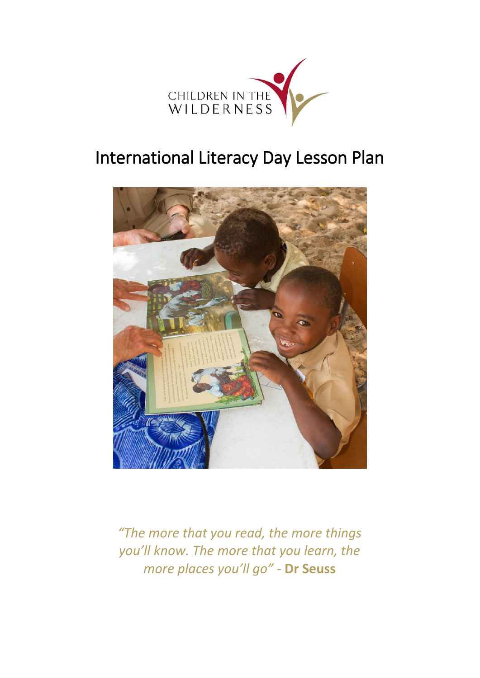

# International Literacy Day Lesson Plan



*"The more that you read, the more things you'll know. The more that you learn, the more places you'll go" -* **Dr Seuss**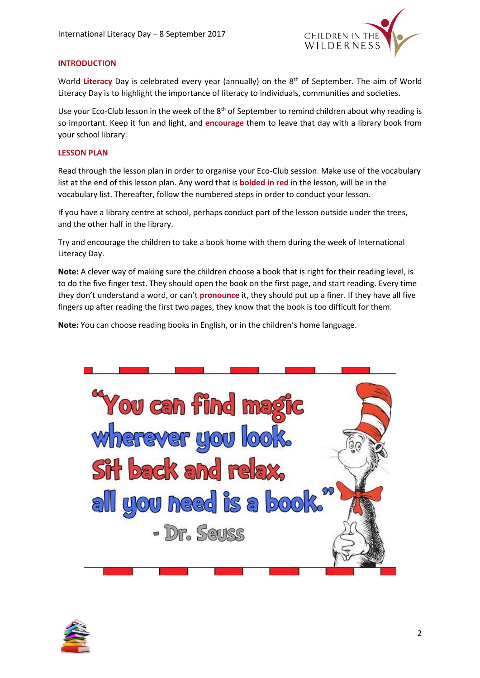

### **INTRODUCTION**

World Literacy Day is celebrated every year (annually) on the 8<sup>th</sup> of September. The aim of World Literacy Day is to highlight the importance of literacy to individuals, communities and societies.

Use your Eco-Club lesson in the week of the 8<sup>th</sup> of September to remind children about why reading is so important. Keep it fun and light, and **encourage** them to leave that day with a library book from your school library.

### **LESSON PLAN**

Read through the lesson plan in order to organise your Eco-Club session. Make use of the vocabulary list at the end of this lesson plan. Any word that is **bolded in red** in the lesson, will be in the vocabulary list. Thereafter, follow the numbered steps in order to conduct your lesson.

If you have a library centre at school, perhaps conduct part of the lesson outside under the trees, and the other half in the library.

Try and encourage the children to take a book home with them during the week of International Literacy Day.

**Note:** A clever way of making sure the children choose a book that is right for their reading level, is to do the five finger test. They should open the book on the first page, and start reading. Every time they don't understand a word, or can't **pronounce** it, they should put up a finer. If they have all five fingers up after reading the first two pages, they know that the book is too difficult for them.

**Note:** You can choose reading books in English, or in the children's home language.



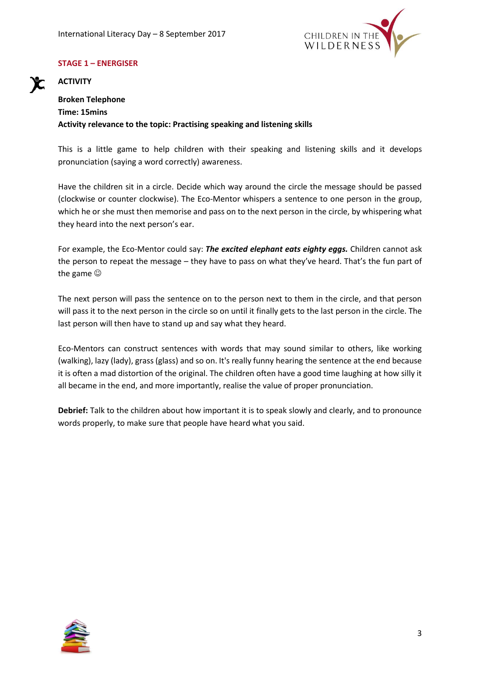

### **STAGE 1 – ENERGISER**

### **ACTIVITY**

### **Broken Telephone Time: 15mins Activity relevance to the topic: Practising speaking and listening skills**

This is a little game to help children with their speaking and listening skills and it develops pronunciation (saying a word correctly) awareness.

Have the children sit in a circle. Decide which way around the circle the message should be passed (clockwise or counter clockwise). The Eco-Mentor whispers a sentence to one person in the group, which he or she must then memorise and pass on to the next person in the circle, by whispering what they heard into the next person's ear.

For example, the Eco-Mentor could say: *The excited elephant eats eighty eggs.* Children cannot ask the person to repeat the message – they have to pass on what they've heard. That's the fun part of the game

The next person will pass the sentence on to the person next to them in the circle, and that person will pass it to the next person in the circle so on until it finally gets to the last person in the circle. The last person will then have to stand up and say what they heard.

Eco-Mentors can construct sentences with words that may sound similar to others, like working (walking), lazy (lady), grass (glass) and so on. It's really funny hearing the sentence at the end because it is often a mad distortion of the original. The children often have a good time laughing at how silly it all became in the end, and more importantly, realise the value of proper pronunciation.

**Debrief:** Talk to the children about how important it is to speak slowly and clearly, and to pronounce words properly, to make sure that people have heard what you said.

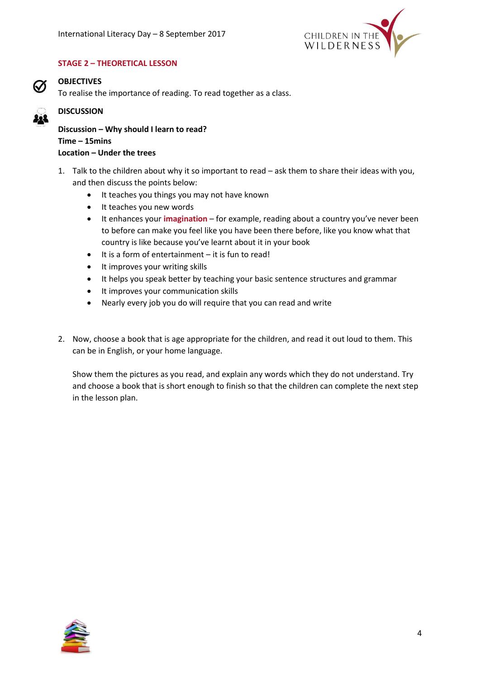

### **STAGE 2 – THEORETICAL LESSON**



### **OBJECTIVES**

To realise the importance of reading. To read together as a class.

## **DISCUSSION**

**Discussion – Why should I learn to read? Time – 15mins Location – Under the trees** 

- 1. Talk to the children about why it so important to read ask them to share their ideas with you, and then discuss the points below:
	- It teaches you things you may not have known
	- It teaches you new words
	- It enhances your **imagination** for example, reading about a country you've never been to before can make you feel like you have been there before, like you know what that country is like because you've learnt about it in your book
	- $\bullet$  It is a form of entertainment it is fun to read!
	- It improves your writing skills
	- It helps you speak better by teaching your basic sentence structures and grammar
	- It improves your communication skills
	- Nearly every job you do will require that you can read and write
- 2. Now, choose a book that is age appropriate for the children, and read it out loud to them. This can be in English, or your home language.

Show them the pictures as you read, and explain any words which they do not understand. Try and choose a book that is short enough to finish so that the children can complete the next step in the lesson plan.

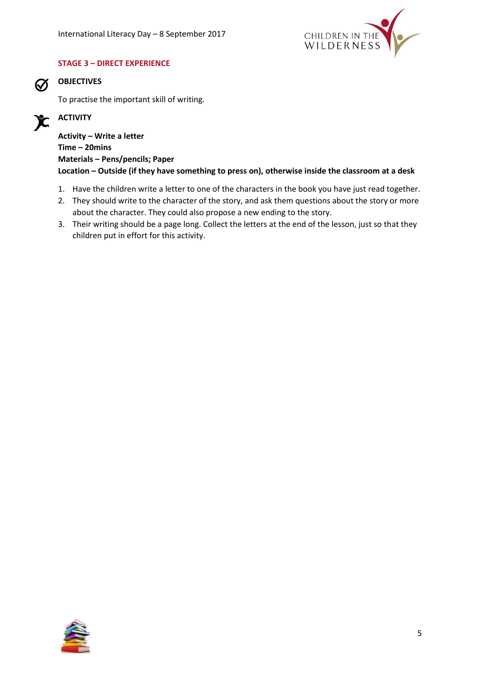

### **STAGE 3 – DIRECT EXPERIENCE**



### **OBJECTIVES**

To practise the important skill of writing.

#### **ACTIVITY**  $\mathbf{X}$

**Activity – Write a letter Time – 20mins Materials – Pens/pencils; Paper Location – Outside (if they have something to press on), otherwise inside the classroom at a desk**

- 1. Have the children write a letter to one of the characters in the book you have just read together.
- 2. They should write to the character of the story, and ask them questions about the story or more about the character. They could also propose a new ending to the story.
- 3. Their writing should be a page long. Collect the letters at the end of the lesson, just so that they children put in effort for this activity.

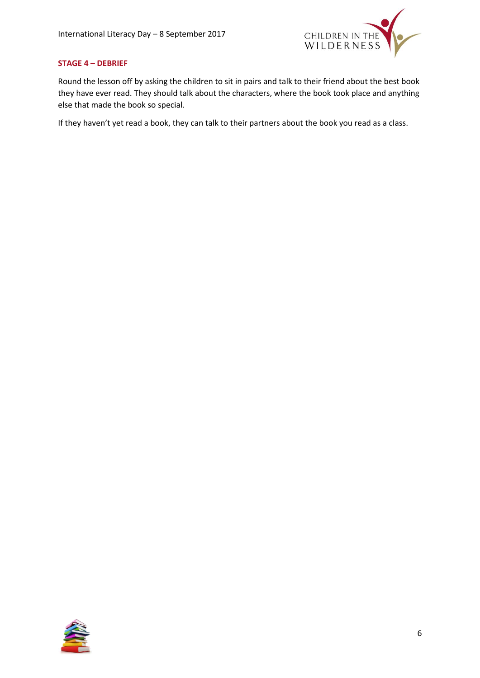

### **STAGE 4 – DEBRIEF**

Round the lesson off by asking the children to sit in pairs and talk to their friend about the best book they have ever read. They should talk about the characters, where the book took place and anything else that made the book so special.

If they haven't yet read a book, they can talk to their partners about the book you read as a class.